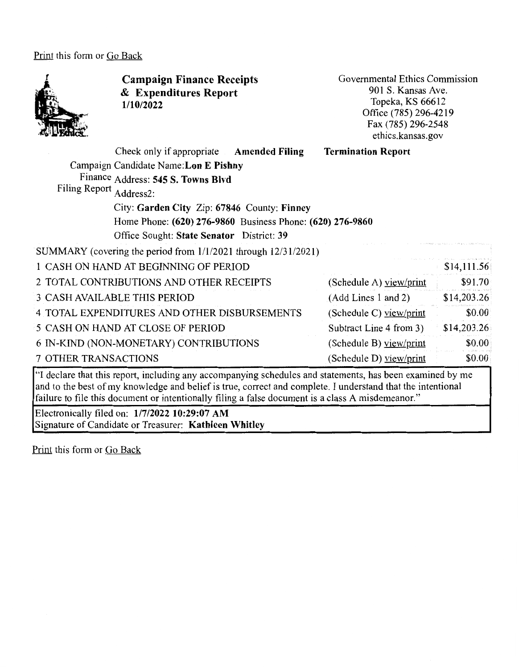Print this form or Go Back



**Campaign Finance Receipts**  & **Expenditures Report 1/10/2022** 

Governmental Ethics Commission 901 S. Kansas Ave. Topeka, KS 66612 Office (785) 296-4219 Fax (785) 296-2548 ethics.kansas.gov

|                                                                     | Check only if appropriate Amended Filing  |  | <b>Termination Report</b> |             |  |  |  |
|---------------------------------------------------------------------|-------------------------------------------|--|---------------------------|-------------|--|--|--|
| Campaign Candidate Name: Lon E Pishny                               |                                           |  |                           |             |  |  |  |
| Finance Address: 545 S. Towns Blvd                                  |                                           |  |                           |             |  |  |  |
|                                                                     | Filing Report<br>Address2:                |  |                           |             |  |  |  |
| City: Garden City Zip: 67846 County: Finney                         |                                           |  |                           |             |  |  |  |
| Home Phone: (620) 276-9860 Business Phone: (620) 276-9860           |                                           |  |                           |             |  |  |  |
|                                                                     | Office Sought: State Senator District: 39 |  |                           |             |  |  |  |
| SUMMARY (covering the period from $1/1/2021$ through $12/31/2021$ ) |                                           |  |                           |             |  |  |  |
| 1 CASH ON HAND AT BEGINNING OF PERIOD                               |                                           |  |                           |             |  |  |  |
| 2 TOTAL CONTRIBUTIONS AND OTHER RECEIPTS                            |                                           |  | (Schedule A) view/print   | \$91.70     |  |  |  |
| <b>3 CASH AVAILABLE THIS PERIOD</b>                                 |                                           |  | (Add Lines 1 and 2)       | \$14,203.26 |  |  |  |
| 4 TOTAL EXPENDITURES AND OTHER DISBURSEMENTS                        |                                           |  | (Schedule C) $view/print$ | \$0.00      |  |  |  |
| 5 CASH ON HAND AT CLOSE OF PERIOD                                   |                                           |  | Subtract Line 4 from 3)   | \$14,203.26 |  |  |  |
| 6 IN-KIND (NON-MONETARY) CONTRIBUTIONS                              |                                           |  | (Schedule B) view/print   | \$0.00      |  |  |  |
| <b>7 OTHER TRANSACTIONS</b>                                         |                                           |  | (Schedule D) view/print   | \$0.00      |  |  |  |
|                                                                     |                                           |  |                           |             |  |  |  |

"I declare that this report, including any accompanying schedules and statements, has been examined by me and to the best of my knowledge and belief is true, correct and complete. I understand that the intentional failure to file this document or intentionally filing a false document is a class A misdemeanor."

Electronically filed on: **1/7/2022 10:29:07 AM**  Signature of Candidate or Treasurer: **Kathleen Whitley** 

Print this form or Go Back